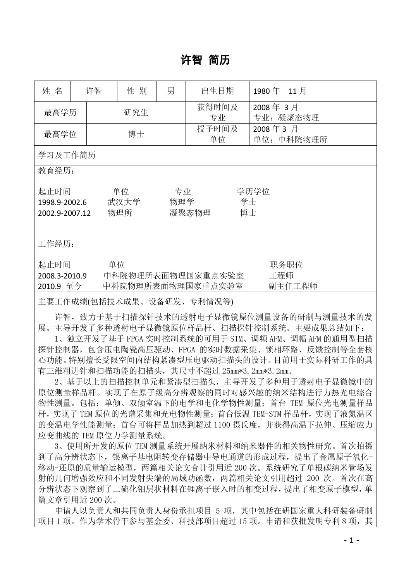## 许智 简历

| 姓 名                                     |  | 许智  | 性 别                                          | 男 | 出生日期              |  | 1980年 11月             |  |  |  |
|-----------------------------------------|--|-----|----------------------------------------------|---|-------------------|--|-----------------------|--|--|--|
| 最高学历                                    |  | 研究生 |                                              |   | 获得时间及<br>专业       |  | 2008年3月<br>专业: 凝聚态物理  |  |  |  |
| 最高学位                                    |  | 博士  |                                              |   | 授予时间及<br>单位       |  | 2008年3月<br>单位: 中科院物理所 |  |  |  |
| 学习及工作简历                                 |  |     |                                              |   |                   |  |                       |  |  |  |
| 教育经历:                                   |  |     |                                              |   |                   |  |                       |  |  |  |
| 起止时间<br>1998.9-2002.6<br>2002.9-2007.12 |  |     | 单位<br>专业<br>物理学<br>武汉大学<br>物理所               |   | 学士<br>博士<br>凝聚态物理 |  | 学历学位                  |  |  |  |
| 工作经历:                                   |  |     |                                              |   |                   |  |                       |  |  |  |
| 起止时间<br>2008.3-2010.9<br>2010.9 至今      |  |     | 单位<br>中科院物理所表面物理国家重点实验室<br>中科院物理所表面物理国家重点实验室 |   |                   |  | 职务职位<br>工程师<br>副主任工程师 |  |  |  |
| 主要工作成绩(包括技术成果、设备研发、专利情况等)               |  |     |                                              |   |                   |  |                       |  |  |  |

许智,致力于基于扫描探针技术的透射电子显微镜原位测量设备的研制与测量技术的发 展。主导开发了多种透射电子显微镜原位样品杆、扫描探针控制系统。主要成果总结如下:

1、独立开发了基于 FPGA 实时控制系统的可用于 STM、调频 AFM、调幅 AFM 的通用型扫描 探针控制器,包含压电陶瓷高压驱动、FPGA 的实时数据采集、锁相环路、反馈控制等全套核 心功能。特别擅长受限空间内结构紧凑型压电驱动扫描头的设计。目前用于实际科研工作的具 有三维粗进针和扫描功能的扫描头,其尺寸不超过 25mm\*3.2mm\*3.2mm。

2、基于以上的扫描控制单元和紧凑型扫描头,主导开发了多种用于透射电子显微镜中的 原位测量样品杆。实现了在原子级高分辨观察的同时对感兴趣的纳米结构进行力热光电综合 物性测量。包括:单倾、双倾室温下的电学和电化学物性测量;首台 TEM 原位光电测量样品 杆,实现了 TEM 原位的光谱采集和光电物性测量;首台低温 TEM-STM 样品杆,实现了液氮温区 的变温电学性能测量;首台可将样品加热到超过 1100 摄氏度,并获得高温下拉伸、压缩应力 应变曲线的 TEM 原位力学测量系统。

3、使用所开发的原位 TEM 测量系统开展纳米材料和纳米器件的相关物性研究。首次拍摄 到了高分辨状态下,银离子基电阻转变存储器中导电通道的形成过程,提出了金属原子氧化-移动-还原的质量输运模型,两篇相关论文合计引用近 200 次。系统研究了单根碳纳米管场发 射的几何增强效应和不同发射尖端的局域功函数,两篇相关论文引用超过 200 次。首次在高 分辨状态下观察到了二硫化钼层状材料在锂离子嵌入时的相变过程,提出了相变原子模型,单 篇文章引用近 200 次。

申请人以负责人和共同负责人身份承担项目 5 项,其中包括在研国家重大科研装备研制 项目 1 项。作为学术骨干参与基金委、科技部项目超过 15 项。申请和获批发明专利 8 项, 其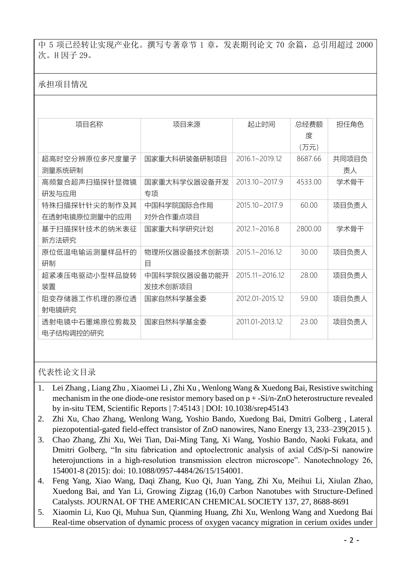中 5 项已经转让实现产业化。撰写专著章节 1 章,发表期刊论文 70 余篇, 总引用超过 2000 次。H 因子 29。

## 承担项目情况

| 项目名称          | 项目来源         | 起止时间               | 总经费额    | 担任角色  |
|---------------|--------------|--------------------|---------|-------|
|               |              |                    | 度       |       |
|               |              |                    | (万元)    |       |
| 超高时空分辨原位多尺度量子 | 国家重大科研装备研制项目 | $20161 - 201912$   | 868766  | 共同项目负 |
| 测量系统研制        |              |                    |         | 责人    |
| 高频复合超声扫描探针显微镜 | 国家重大科学仪器设备开发 | $2013.10 - 2017.9$ | 4533.00 | 学术骨干  |
| 研发与应用         | 专项           |                    |         |       |
| 特殊扫描探针针尖的制作及其 | 中国科学院国际合作局   | 2015.10~2017.9     | 60.00   | 项目负责人 |
| 在透射电镜原位测量中的应用 | 对外合作重点项目     |                    |         |       |
| 基于扫描探针技术的纳米表征 | 国家重大科学研究计划   | $20121 - 20168$    | 2800.00 | 学术骨干  |
| 新方法研究         |              |                    |         |       |
| 原位低温电输运测量样品杆的 | 物理所仪器设备技术创新项 | 2015.1~2016.12     | 30.00   | 项目负责人 |
| 研制            | 目            |                    |         |       |
| 超紧凑压电驱动小型样品旋转 | 中国科学院仪器设备功能开 | 2015.11~2016.12    | 28.00   | 项目负责人 |
| 装置            | 发技术创新项目      |                    |         |       |
| 阻变存储器工作机理的原位透 | 国家自然科学基金委    | 2012 01-2015 12    | 59.00   | 项目负责人 |
| 射电镜研究         |              |                    |         |       |
| 透射电镜中石墨烯原位剪裁及 | 国家自然科学基金委    | 2011 01-2013 12    | 23.00   | 项目负责人 |
| 电子结构调控的研究     |              |                    |         |       |

代表性论文目录

- 1. Lei Zhang , Liang Zhu , Xiaomei Li , Zhi Xu , Wenlong Wang & Xuedong Bai, Resistive switching mechanism in the one diode-one resistor memory based on p + -Si/n-ZnO heterostructure revealed by in-situ TEM, Scientific Reports | 7:45143 | DOI: 10.1038/srep45143
- 2. Zhi Xu, Chao Zhang, Wenlong Wang, Yoshio Bando, Xuedong Bai, Dmitri Golberg , Lateral piezopotential-gated field-effect transistor of ZnO nanowires, Nano Energy 13, 233–239(2015 ).
- 3. Chao Zhang, Zhi Xu, Wei Tian, Dai-Ming Tang, Xi Wang, Yoshio Bando, Naoki Fukata, and Dmitri Golberg, "In situ fabrication and optoelectronic analysis of axial CdS/p-Si nanowire heterojunctions in a high-resolution transmission electron microscope". Nanotechnology 26, 154001-8 (2015): doi: 10.1088/0957-4484/26/15/154001.
- 4. Feng Yang, Xiao Wang, Daqi Zhang, Kuo Qi, Juan Yang, Zhi Xu, Meihui Li, Xiulan Zhao, Xuedong Bai, and Yan Li, Growing Zigzag (16,0) Carbon Nanotubes with Structure-Defined Catalysts. JOURNAL OF THE AMERICAN CHEMICAL SOCIETY 137, 27, 8688-8691
- 5. Xiaomin Li, Kuo Qi, Muhua Sun, Qianming Huang, Zhi Xu, Wenlong Wang and Xuedong Bai Real-time observation of dynamic process of oxygen vacancy migration in cerium oxides under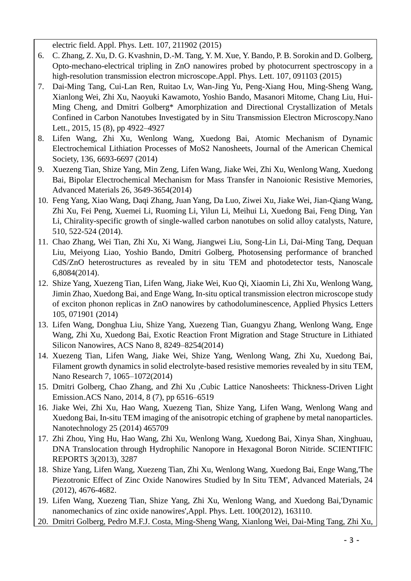electric field. Appl. Phys. Lett. 107, 211902 (2015)

- 6. C. Zhang, Z. Xu, D. G. Kvashnin, D.-M. Tang, Y. M. Xue, Y. Bando, P. B. Sorokin and D. Golberg, Opto-mechano-electrical tripling in ZnO nanowires probed by photocurrent spectroscopy in a high-resolution transmission electron microscope.Appl. Phys. Lett. 107, 091103 (2015)
- 7. Dai-Ming Tang, Cui-Lan Ren, Ruitao Lv, Wan-Jing Yu, Peng-Xiang Hou, Ming-Sheng Wang, Xianlong Wei, Zhi Xu, Naoyuki Kawamoto, Yoshio Bando, Masanori Mitome, Chang Liu, Hui-Ming Cheng, and Dmitri Golberg\* Amorphization and Directional Crystallization of Metals Confined in Carbon Nanotubes Investigated by in Situ Transmission Electron Microscopy.Nano Lett., 2015, 15 (8), pp 4922–4927
- 8. Lifen Wang, Zhi Xu, Wenlong Wang, Xuedong Bai, Atomic Mechanism of Dynamic Electrochemical Lithiation Processes of MoS2 Nanosheets, Journal of the American Chemical Society, 136, 6693-6697 (2014)
- 9. Xuezeng Tian, Shize Yang, Min Zeng, Lifen Wang, Jiake Wei, Zhi Xu, Wenlong Wang, Xuedong Bai, Bipolar Electrochemical Mechanism for Mass Transfer in Nanoionic Resistive Memories, Advanced Materials 26, 3649-3654(2014)
- 10. Feng Yang, Xiao Wang, Daqi Zhang, Juan Yang, Da Luo, Ziwei Xu, Jiake Wei, Jian-Qiang Wang, Zhi Xu, Fei Peng, Xuemei Li, Ruoming Li, Yilun Li, Meihui Li, Xuedong Bai, Feng Ding, Yan Li, Chirality-specific growth of single-walled carbon nanotubes on solid alloy catalysts, Nature, 510, 522-524 (2014).
- 11. Chao Zhang, Wei Tian, Zhi Xu, Xi Wang, Jiangwei Liu, Song-Lin Li, Dai-Ming Tang, Dequan Liu, Meiyong Liao, Yoshio Bando, Dmitri Golberg, Photosensing performance of branched CdS/ZnO heterostructures as revealed by in situ TEM and photodetector tests, Nanoscale 6,8084(2014).
- 12. Shize Yang, Xuezeng Tian, Lifen Wang, Jiake Wei, Kuo Qi, Xiaomin Li, Zhi Xu, Wenlong Wang, Jimin Zhao, Xuedong Bai, and Enge Wang, In-situ optical transmission electron microscope study of exciton phonon replicas in ZnO nanowires by cathodoluminescence, Applied Physics Letters 105, 071901 (2014)
- 13. Lifen Wang, Donghua Liu, Shize Yang, Xuezeng Tian, Guangyu Zhang, Wenlong Wang, Enge Wang, Zhi Xu, Xuedong Bai, Exotic Reaction Front Migration and Stage Structure in Lithiated Silicon Nanowires, ACS Nano 8, 8249–8254(2014)
- 14. Xuezeng Tian, Lifen Wang, Jiake Wei, Shize Yang, Wenlong Wang, Zhi Xu, Xuedong Bai, Filament growth dynamics in solid electrolyte-based resistive memories revealed by in situ TEM, Nano Research 7, 1065–1072(2014)
- 15. Dmitri Golberg, Chao Zhang, and Zhi Xu ,Cubic Lattice Nanosheets: Thickness-Driven Light Emission.ACS Nano, 2014, 8 (7), pp 6516–6519
- 16. Jiake Wei, Zhi Xu, Hao Wang, Xuezeng Tian, Shize Yang, Lifen Wang, Wenlong Wang and Xuedong Bai, In-situ TEM imaging of the anisotropic etching of graphene by metal nanoparticles. Nanotechnology 25 (2014) 465709
- 17. Zhi Zhou, Ying Hu, Hao Wang, Zhi Xu, Wenlong Wang, Xuedong Bai, Xinya Shan, Xinghuau, DNA Translocation through Hydrophilic Nanopore in Hexagonal Boron Nitride. SCIENTIFIC REPORTS 3(2013), 3287
- 18. Shize Yang, Lifen Wang, Xuezeng Tian, Zhi Xu, Wenlong Wang, Xuedong Bai, Enge Wang,'The Piezotronic Effect of Zinc Oxide Nanowires Studied by In Situ TEM', Advanced Materials, 24 (2012), 4676-4682.
- 19. Lifen Wang, Xuezeng Tian, Shize Yang, Zhi Xu, Wenlong Wang, and Xuedong Bai,'Dynamic nanomechanics of zinc oxide nanowires',Appl. Phys. Lett. 100(2012), 163110.
- 20. Dmitri Golberg, Pedro M.F.J. Costa, Ming-Sheng Wang, Xianlong Wei, Dai-Ming Tang, Zhi Xu,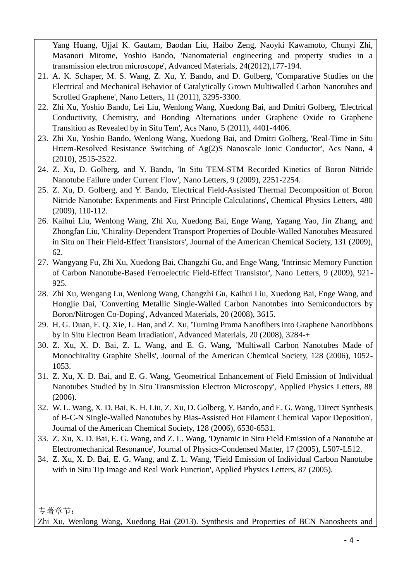Yang Huang, Ujjal K. Gautam, Baodan Liu, Haibo Zeng, Naoyki Kawamoto, Chunyi Zhi, Masanori Mitome, Yoshio Bando, 'Nanomaterial engineering and property studies in a transmission electron microscope', Advanced Materials, 24(2012),177-194.

- 21. A. K. Schaper, M. S. Wang, Z. Xu, Y. Bando, and D. Golberg, 'Comparative Studies on the Electrical and Mechanical Behavior of Catalytically Grown Multiwalled Carbon Nanotubes and Scrolled Graphene', Nano Letters, 11 (2011), 3295-3300.
- 22. Zhi Xu, Yoshio Bando, Lei Liu, Wenlong Wang, Xuedong Bai, and Dmitri Golberg, 'Electrical Conductivity, Chemistry, and Bonding Alternations under Graphene Oxide to Graphene Transition as Revealed by in Situ Tem', Acs Nano, 5 (2011), 4401-4406.
- 23. Zhi Xu, Yoshio Bando, Wenlong Wang, Xuedong Bai, and Dmitri Golberg, 'Real-Time in Situ Hrtem-Resolved Resistance Switching of Ag(2)S Nanoscale Ionic Conductor', Acs Nano, 4 (2010), 2515-2522.
- 24. Z. Xu, D. Golberg, and Y. Bando, 'In Situ TEM-STM Recorded Kinetics of Boron Nitride Nanotube Failure under Current Flow', Nano Letters, 9 (2009), 2251-2254.
- 25. Z. Xu, D. Golberg, and Y. Bando, 'Electrical Field-Assisted Thermal Decomposition of Boron Nitride Nanotube: Experiments and First Principle Calculations', Chemical Physics Letters, 480 (2009), 110-112.
- 26. Kaihui Liu, Wenlong Wang, Zhi Xu, Xuedong Bai, Enge Wang, Yagang Yao, Jin Zhang, and Zhongfan Liu, 'Chirality-Dependent Transport Properties of Double-Walled Nanotubes Measured in Situ on Their Field-Effect Transistors', Journal of the American Chemical Society, 131 (2009), 62.
- 27. Wangyang Fu, Zhi Xu, Xuedong Bai, Changzhi Gu, and Enge Wang, 'Intrinsic Memory Function of Carbon Nanotube-Based Ferroelectric Field-Effect Transistor', Nano Letters, 9 (2009), 921- 925.
- 28. Zhi Xu, Wengang Lu, Wenlong Wang, Changzhi Gu, Kaihui Liu, Xuedong Bai, Enge Wang, and Hongjie Dai, 'Converting Metallic Single-Walled Carbon Nanotnbes into Semiconductors by Boron/Nitrogen Co-Doping', Advanced Materials, 20 (2008), 3615.
- 29. H. G. Duan, E. Q. Xie, L. Han, and Z. Xu, 'Turning Pmma Nanofibers into Graphene Nanoribbons by in Situ Electron Beam Irradiation', Advanced Materials, 20 (2008), 3284-+
- 30. Z. Xu, X. D. Bai, Z. L. Wang, and E. G. Wang, 'Multiwall Carbon Nanotubes Made of Monochirality Graphite Shells', Journal of the American Chemical Society, 128 (2006), 1052- 1053.
- 31. Z. Xu, X. D. Bai, and E. G. Wang, 'Geometrical Enhancement of Field Emission of Individual Nanotubes Studied by in Situ Transmission Electron Microscopy', Applied Physics Letters, 88 (2006).
- 32. W. L. Wang, X. D. Bai, K. H. Liu, Z. Xu, D. Golberg, Y. Bando, and E. G. Wang, 'Direct Synthesis of B-C-N Single-Walled Nanotubes by Bias-Assisted Hot Filament Chemical Vapor Deposition', Journal of the American Chemical Society, 128 (2006), 6530-6531.
- 33. Z. Xu, X. D. Bai, E. G. Wang, and Z. L. Wang, 'Dynamic in Situ Field Emission of a Nanotube at Electromechanical Resonance', Journal of Physics-Condensed Matter, 17 (2005), L507-L512.
- 34. Z. Xu, X. D. Bai, E. G. Wang, and Z. L. Wang, 'Field Emission of Individual Carbon Nanotube with in Situ Tip Image and Real Work Function', Applied Physics Letters, 87 (2005).

专著章节:

Zhi Xu, Wenlong Wang, Xuedong Bai (2013). Synthesis and Properties of BCN Nanosheets and